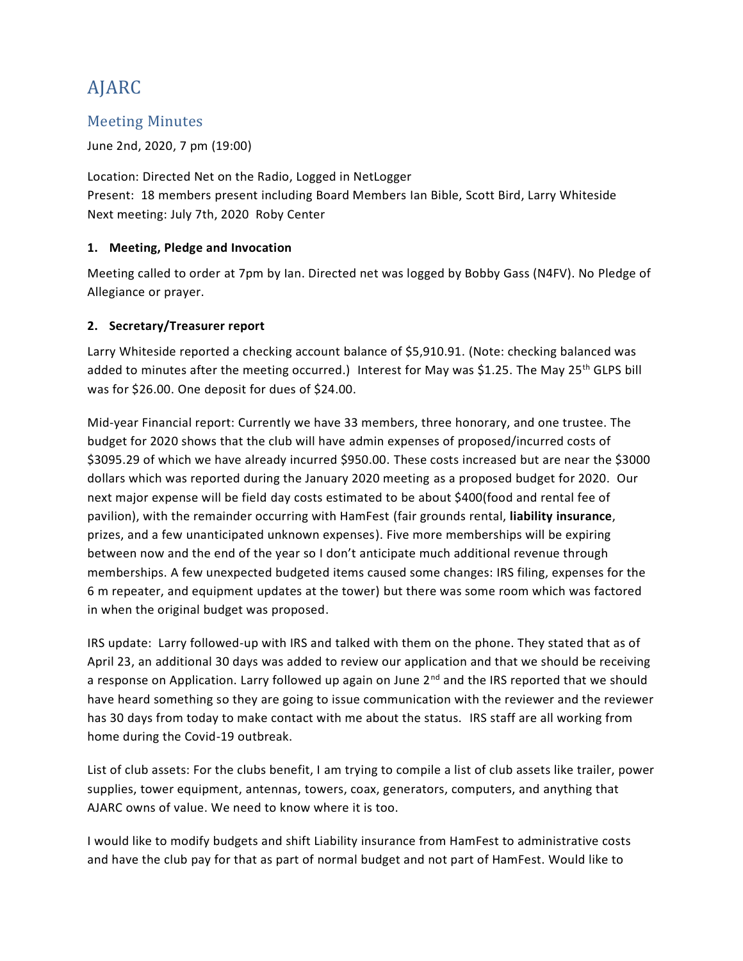# AJARC

# Meeting Minutes

June 2nd, 2020, 7 pm (19:00)

Location: Directed Net on the Radio, Logged in NetLogger Present: 18 members present including Board Members Ian Bible, Scott Bird, Larry Whiteside Next meeting: July 7th, 2020 Roby Center

## **1. Meeting, Pledge and Invocation**

Meeting called to order at 7pm by Ian. Directed net was logged by Bobby Gass (N4FV). No Pledge of Allegiance or prayer.

## **2. Secretary/Treasurer report**

Larry Whiteside reported a checking account balance of \$5,910.91. (Note: checking balanced was added to minutes after the meeting occurred.) Interest for May was \$1.25. The May 25<sup>th</sup> GLPS bill was for \$26.00. One deposit for dues of \$24.00.

Mid-year Financial report: Currently we have 33 members, three honorary, and one trustee. The budget for 2020 shows that the club will have admin expenses of proposed/incurred costs of \$3095.29 of which we have already incurred \$950.00. These costs increased but are near the \$3000 dollars which was reported during the January 2020 meeting as a proposed budget for 2020. Our next major expense will be field day costs estimated to be about \$400(food and rental fee of pavilion), with the remainder occurring with HamFest (fair grounds rental, **liability insurance**, prizes, and a few unanticipated unknown expenses). Five more memberships will be expiring between now and the end of the year so I don't anticipate much additional revenue through memberships. A few unexpected budgeted items caused some changes: IRS filing, expenses for the 6 m repeater, and equipment updates at the tower) but there was some room which was factored in when the original budget was proposed.

IRS update: Larry followed-up with IRS and talked with them on the phone. They stated that as of April 23, an additional 30 days was added to review our application and that we should be receiving a response on Application. Larry followed up again on June 2<sup>nd</sup> and the IRS reported that we should have heard something so they are going to issue communication with the reviewer and the reviewer has 30 days from today to make contact with me about the status. IRS staff are all working from home during the Covid-19 outbreak.

List of club assets: For the clubs benefit, I am trying to compile a list of club assets like trailer, power supplies, tower equipment, antennas, towers, coax, generators, computers, and anything that AJARC owns of value. We need to know where it is too.

I would like to modify budgets and shift Liability insurance from HamFest to administrative costs and have the club pay for that as part of normal budget and not part of HamFest. Would like to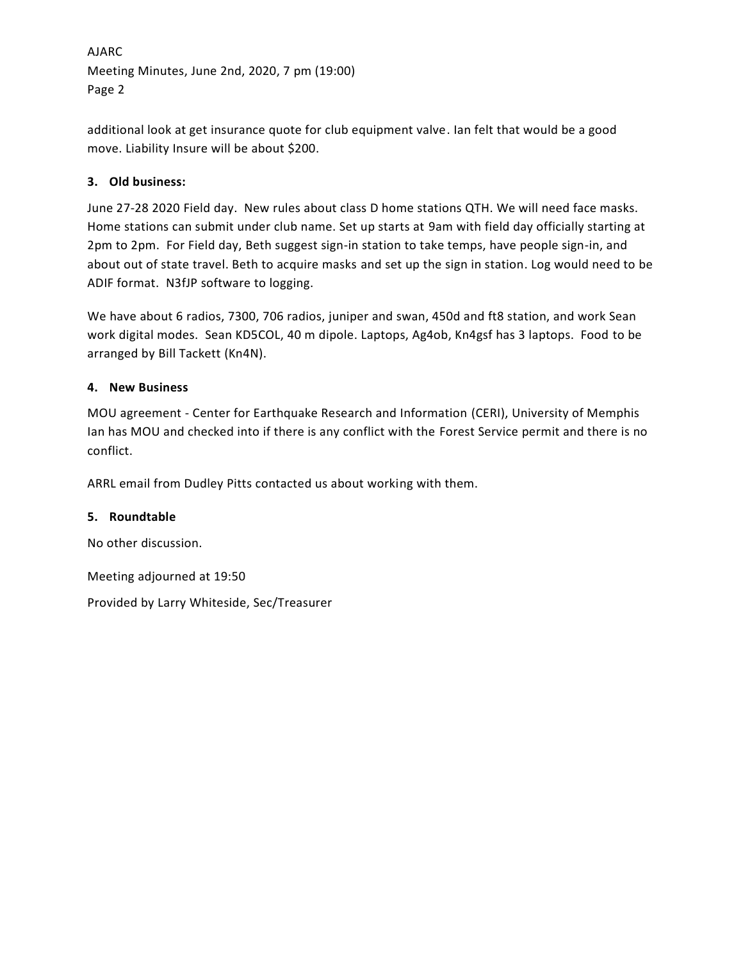AJARC Meeting Minutes, June 2nd, 2020, 7 pm (19:00) Page 2

additional look at get insurance quote for club equipment valve. Ian felt that would be a good move. Liability Insure will be about \$200.

## **3. Old business:**

June 27-28 2020 Field day. New rules about class D home stations QTH. We will need face masks. Home stations can submit under club name. Set up starts at 9am with field day officially starting at 2pm to 2pm. For Field day, Beth suggest sign-in station to take temps, have people sign-in, and about out of state travel. Beth to acquire masks and set up the sign in station. Log would need to be ADIF format. N3fJP software to logging.

We have about 6 radios, 7300, 706 radios, juniper and swan, 450d and ft8 station, and work Sean work digital modes. Sean KD5COL, 40 m dipole. Laptops, Ag4ob, Kn4gsf has 3 laptops. Food to be arranged by Bill Tackett (Kn4N).

#### **4. New Business**

MOU agreement - Center for Earthquake Research and Information (CERI), University of Memphis Ian has MOU and checked into if there is any conflict with the Forest Service permit and there is no conflict.

ARRL email from Dudley Pitts contacted us about working with them.

#### **5. Roundtable**

No other discussion.

Meeting adjourned at 19:50

Provided by Larry Whiteside, Sec/Treasurer